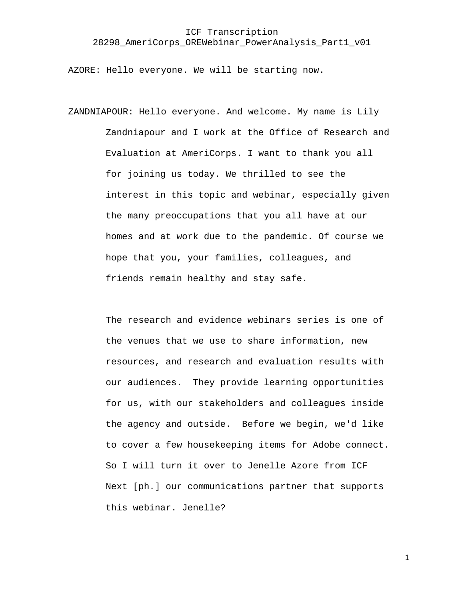AZORE: Hello everyone. We will be starting now.

ZANDNIAPOUR: Hello everyone. And welcome. My name is Lily Zandniapour and I work at the Office of Research and Evaluation at AmeriCorps. I want to thank you all for joining us today. We thrilled to see the interest in this topic and webinar, especially given the many preoccupations that you all have at our homes and at work due to the pandemic. Of course we hope that you, your families, colleagues, and friends remain healthy and stay safe.

> The research and evidence webinars series is one of the venues that we use to share information, new resources, and research and evaluation results with our audiences. They provide learning opportunities for us, with our stakeholders and colleagues inside the agency and outside. Before we begin, we'd like to cover a few housekeeping items for Adobe connect. So I will turn it over to Jenelle Azore from ICF Next [ph.] our communications partner that supports this webinar. Jenelle?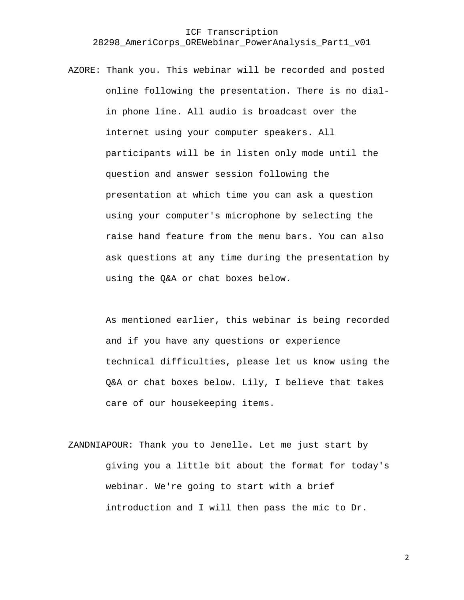AZORE: Thank you. This webinar will be recorded and posted online following the presentation. There is no dialin phone line. All audio is broadcast over the internet using your computer speakers. All participants will be in listen only mode until the question and answer session following the presentation at which time you can ask a question using your computer's microphone by selecting the raise hand feature from the menu bars. You can also ask questions at any time during the presentation by using the Q&A or chat boxes below.

> As mentioned earlier, this webinar is being recorded and if you have any questions or experience technical difficulties, please let us know using the Q&A or chat boxes below. Lily, I believe that takes care of our housekeeping items.

ZANDNIAPOUR: Thank you to Jenelle. Let me just start by giving you a little bit about the format for today's webinar. We're going to start with a brief introduction and I will then pass the mic to Dr.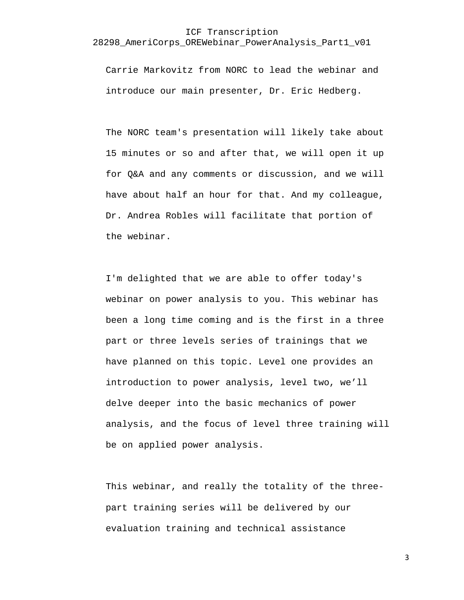Carrie Markovitz from NORC to lead the webinar and introduce our main presenter, Dr. Eric Hedberg.

The NORC team's presentation will likely take about 15 minutes or so and after that, we will open it up for Q&A and any comments or discussion, and we will have about half an hour for that. And my colleague, Dr. Andrea Robles will facilitate that portion of the webinar.

I'm delighted that we are able to offer today's webinar on power analysis to you. This webinar has been a long time coming and is the first in a three part or three levels series of trainings that we have planned on this topic. Level one provides an introduction to power analysis, level two, we'll delve deeper into the basic mechanics of power analysis, and the focus of level three training will be on applied power analysis.

This webinar, and really the totality of the threepart training series will be delivered by our evaluation training and technical assistance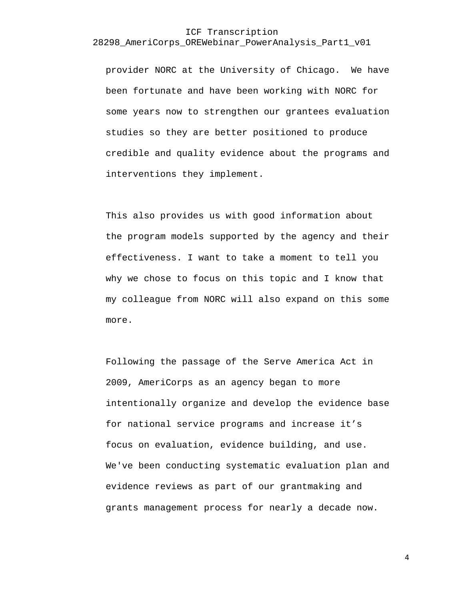provider NORC at the University of Chicago. We have been fortunate and have been working with NORC for some years now to strengthen our grantees evaluation studies so they are better positioned to produce credible and quality evidence about the programs and interventions they implement.

This also provides us with good information about the program models supported by the agency and their effectiveness. I want to take a moment to tell you why we chose to focus on this topic and I know that my colleague from NORC will also expand on this some more.

Following the passage of the Serve America Act in 2009, AmeriCorps as an agency began to more intentionally organize and develop the evidence base for national service programs and increase it's focus on evaluation, evidence building, and use. We've been conducting systematic evaluation plan and evidence reviews as part of our grantmaking and grants management process for nearly a decade now.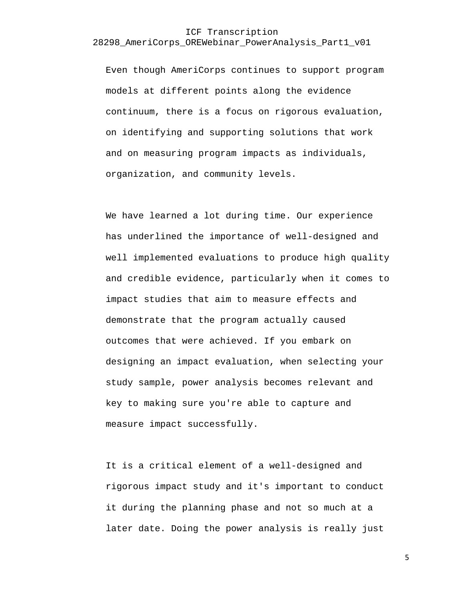Even though AmeriCorps continues to support program models at different points along the evidence continuum, there is a focus on rigorous evaluation, on identifying and supporting solutions that work and on measuring program impacts as individuals, organization, and community levels.

We have learned a lot during time. Our experience has underlined the importance of well-designed and well implemented evaluations to produce high quality and credible evidence, particularly when it comes to impact studies that aim to measure effects and demonstrate that the program actually caused outcomes that were achieved. If you embark on designing an impact evaluation, when selecting your study sample, power analysis becomes relevant and key to making sure you're able to capture and measure impact successfully.

It is a critical element of a well-designed and rigorous impact study and it's important to conduct it during the planning phase and not so much at a later date. Doing the power analysis is really just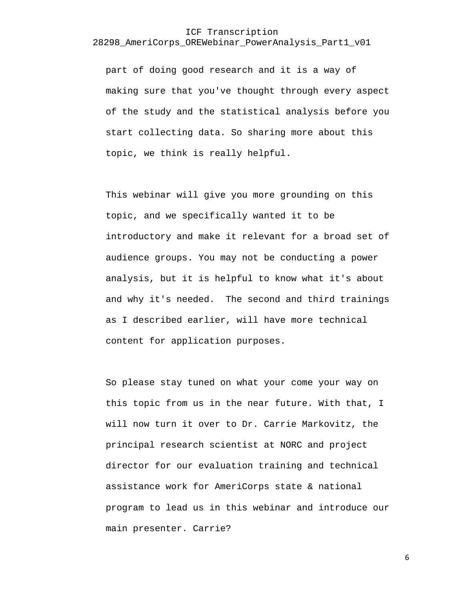part of doing good research and it is a way of making sure that you've thought through every aspect of the study and the statistical analysis before you start collecting data. So sharing more about this topic, we think is really helpful.

This webinar will give you more grounding on this topic, and we specifically wanted it to be introductory and make it relevant for a broad set of audience groups. You may not be conducting a power analysis, but it is helpful to know what it's about and why it's needed. The second and third trainings as I described earlier, will have more technical content for application purposes.

So please stay tuned on what your come your way on this topic from us in the near future. With that, I will now turn it over to Dr. Carrie Markovitz, the principal research scientist at NORC and project director for our evaluation training and technical assistance work for AmeriCorps state & national program to lead us in this webinar and introduce our main presenter. Carrie?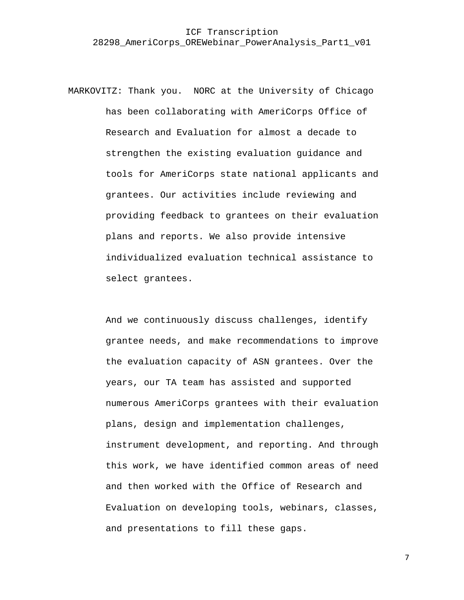MARKOVITZ: Thank you. NORC at the University of Chicago has been collaborating with AmeriCorps Office of Research and Evaluation for almost a decade to strengthen the existing evaluation guidance and tools for AmeriCorps state national applicants and grantees. Our activities include reviewing and providing feedback to grantees on their evaluation plans and reports. We also provide intensive individualized evaluation technical assistance to select grantees.

> And we continuously discuss challenges, identify grantee needs, and make recommendations to improve the evaluation capacity of ASN grantees. Over the years, our TA team has assisted and supported numerous AmeriCorps grantees with their evaluation plans, design and implementation challenges, instrument development, and reporting. And through this work, we have identified common areas of need and then worked with the Office of Research and Evaluation on developing tools, webinars, classes, and presentations to fill these gaps.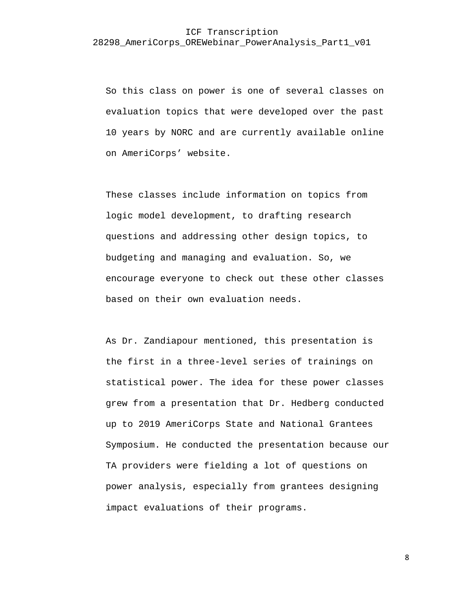So this class on power is one of several classes on evaluation topics that were developed over the past 10 years by NORC and are currently available online on AmeriCorps' website.

These classes include information on topics from logic model development, to drafting research questions and addressing other design topics, to budgeting and managing and evaluation. So, we encourage everyone to check out these other classes based on their own evaluation needs.

As Dr. Zandiapour mentioned, this presentation is the first in a three-level series of trainings on statistical power. The idea for these power classes grew from a presentation that Dr. Hedberg conducted up to 2019 AmeriCorps State and National Grantees Symposium. He conducted the presentation because our TA providers were fielding a lot of questions on power analysis, especially from grantees designing impact evaluations of their programs.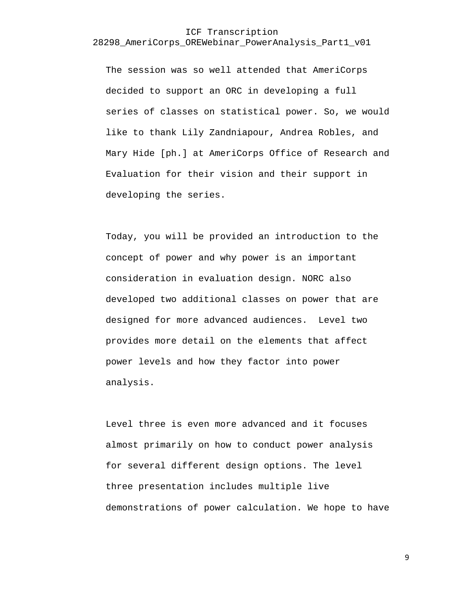The session was so well attended that AmeriCorps decided to support an ORC in developing a full series of classes on statistical power. So, we would like to thank Lily Zandniapour, Andrea Robles, and Mary Hide [ph.] at AmeriCorps Office of Research and Evaluation for their vision and their support in developing the series.

Today, you will be provided an introduction to the concept of power and why power is an important consideration in evaluation design. NORC also developed two additional classes on power that are designed for more advanced audiences. Level two provides more detail on the elements that affect power levels and how they factor into power analysis.

Level three is even more advanced and it focuses almost primarily on how to conduct power analysis for several different design options. The level three presentation includes multiple live demonstrations of power calculation. We hope to have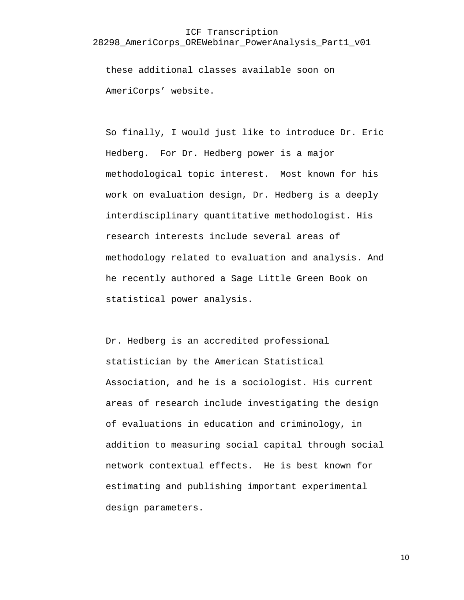these additional classes available soon on AmeriCorps' website.

So finally, I would just like to introduce Dr. Eric Hedberg. For Dr. Hedberg power is a major methodological topic interest. Most known for his work on evaluation design, Dr. Hedberg is a deeply interdisciplinary quantitative methodologist. His research interests include several areas of methodology related to evaluation and analysis. And he recently authored a Sage Little Green Book on statistical power analysis.

Dr. Hedberg is an accredited professional statistician by the American Statistical Association, and he is a sociologist. His current areas of research include investigating the design of evaluations in education and criminology, in addition to measuring social capital through social network contextual effects. He is best known for estimating and publishing important experimental design parameters.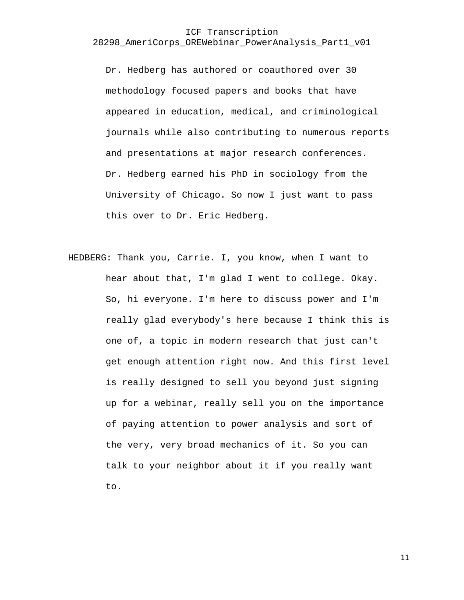Dr. Hedberg has authored or coauthored over 30 methodology focused papers and books that have appeared in education, medical, and criminological journals while also contributing to numerous reports and presentations at major research conferences. Dr. Hedberg earned his PhD in sociology from the University of Chicago. So now I just want to pass this over to Dr. Eric Hedberg.

HEDBERG: Thank you, Carrie. I, you know, when I want to hear about that, I'm glad I went to college. Okay. So, hi everyone. I'm here to discuss power and I'm really glad everybody's here because I think this is one of, a topic in modern research that just can't get enough attention right now. And this first level is really designed to sell you beyond just signing up for a webinar, really sell you on the importance of paying attention to power analysis and sort of the very, very broad mechanics of it. So you can talk to your neighbor about it if you really want to.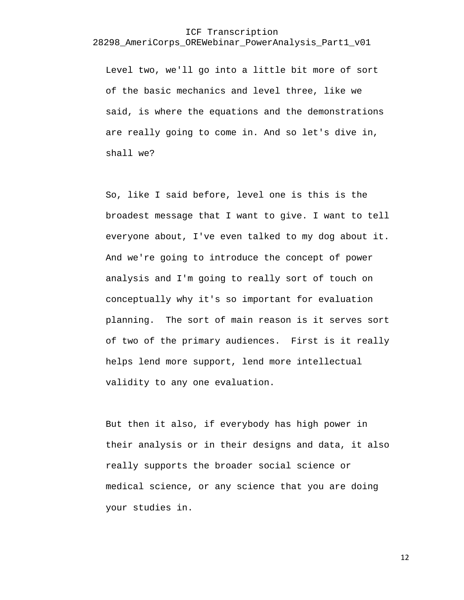Level two, we'll go into a little bit more of sort of the basic mechanics and level three, like we said, is where the equations and the demonstrations are really going to come in. And so let's dive in, shall we?

So, like I said before, level one is this is the broadest message that I want to give. I want to tell everyone about, I've even talked to my dog about it. And we're going to introduce the concept of power analysis and I'm going to really sort of touch on conceptually why it's so important for evaluation planning. The sort of main reason is it serves sort of two of the primary audiences. First is it really helps lend more support, lend more intellectual validity to any one evaluation.

But then it also, if everybody has high power in their analysis or in their designs and data, it also really supports the broader social science or medical science, or any science that you are doing your studies in.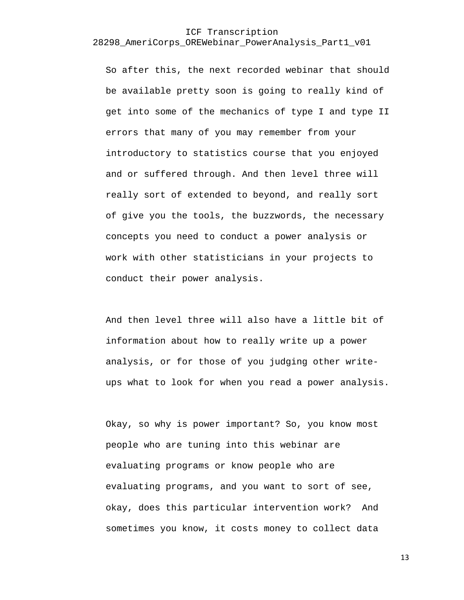So after this, the next recorded webinar that should be available pretty soon is going to really kind of get into some of the mechanics of type I and type II errors that many of you may remember from your introductory to statistics course that you enjoyed and or suffered through. And then level three will really sort of extended to beyond, and really sort of give you the tools, the buzzwords, the necessary concepts you need to conduct a power analysis or work with other statisticians in your projects to conduct their power analysis.

And then level three will also have a little bit of information about how to really write up a power analysis, or for those of you judging other writeups what to look for when you read a power analysis.

Okay, so why is power important? So, you know most people who are tuning into this webinar are evaluating programs or know people who are evaluating programs, and you want to sort of see, okay, does this particular intervention work? And sometimes you know, it costs money to collect data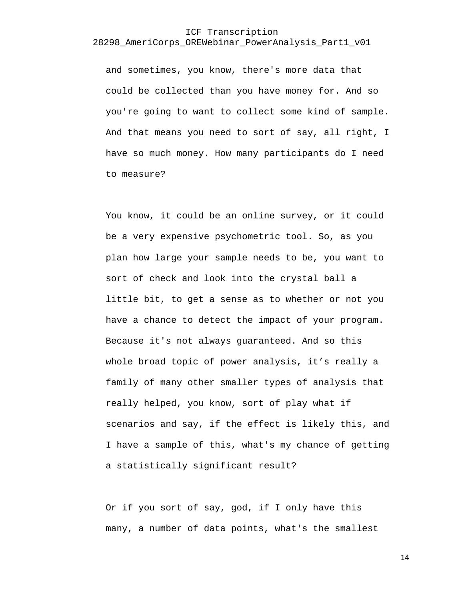and sometimes, you know, there's more data that could be collected than you have money for. And so you're going to want to collect some kind of sample. And that means you need to sort of say, all right, I have so much money. How many participants do I need to measure?

You know, it could be an online survey, or it could be a very expensive psychometric tool. So, as you plan how large your sample needs to be, you want to sort of check and look into the crystal ball a little bit, to get a sense as to whether or not you have a chance to detect the impact of your program. Because it's not always guaranteed. And so this whole broad topic of power analysis, it's really a family of many other smaller types of analysis that really helped, you know, sort of play what if scenarios and say, if the effect is likely this, and I have a sample of this, what's my chance of getting a statistically significant result?

Or if you sort of say, god, if I only have this many, a number of data points, what's the smallest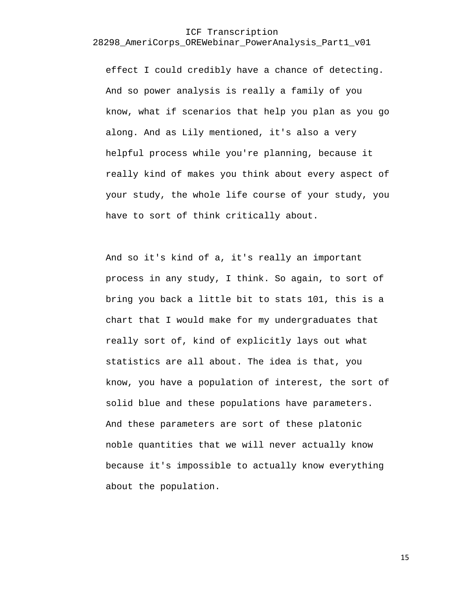effect I could credibly have a chance of detecting. And so power analysis is really a family of you know, what if scenarios that help you plan as you go along. And as Lily mentioned, it's also a very helpful process while you're planning, because it really kind of makes you think about every aspect of your study, the whole life course of your study, you have to sort of think critically about.

And so it's kind of a, it's really an important process in any study, I think. So again, to sort of bring you back a little bit to stats 101, this is a chart that I would make for my undergraduates that really sort of, kind of explicitly lays out what statistics are all about. The idea is that, you know, you have a population of interest, the sort of solid blue and these populations have parameters. And these parameters are sort of these platonic noble quantities that we will never actually know because it's impossible to actually know everything about the population.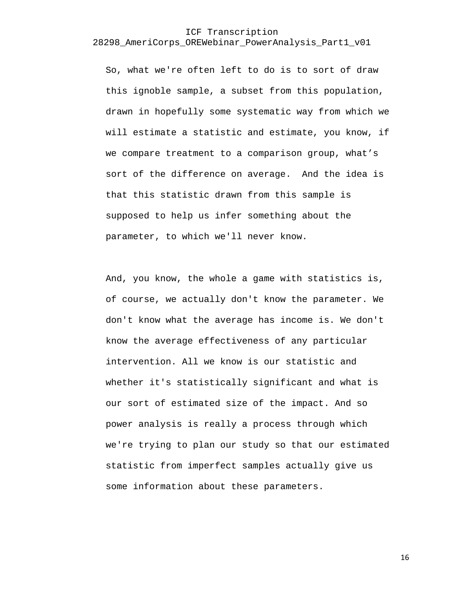So, what we're often left to do is to sort of draw this ignoble sample, a subset from this population, drawn in hopefully some systematic way from which we will estimate a statistic and estimate, you know, if we compare treatment to a comparison group, what's sort of the difference on average. And the idea is that this statistic drawn from this sample is supposed to help us infer something about the parameter, to which we'll never know.

And, you know, the whole a game with statistics is, of course, we actually don't know the parameter. We don't know what the average has income is. We don't know the average effectiveness of any particular intervention. All we know is our statistic and whether it's statistically significant and what is our sort of estimated size of the impact. And so power analysis is really a process through which we're trying to plan our study so that our estimated statistic from imperfect samples actually give us some information about these parameters.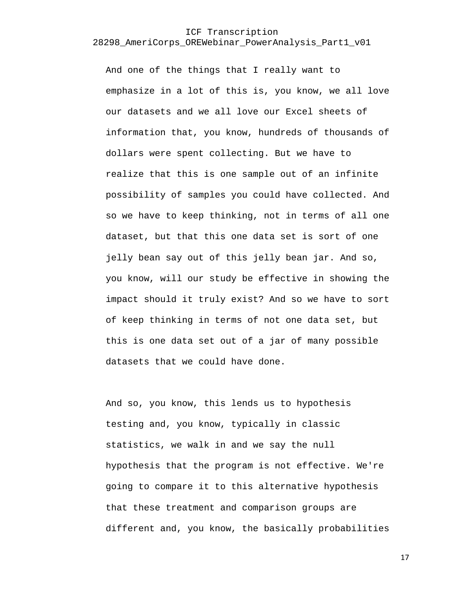And one of the things that I really want to emphasize in a lot of this is, you know, we all love our datasets and we all love our Excel sheets of information that, you know, hundreds of thousands of dollars were spent collecting. But we have to realize that this is one sample out of an infinite possibility of samples you could have collected. And so we have to keep thinking, not in terms of all one dataset, but that this one data set is sort of one jelly bean say out of this jelly bean jar. And so, you know, will our study be effective in showing the impact should it truly exist? And so we have to sort of keep thinking in terms of not one data set, but this is one data set out of a jar of many possible datasets that we could have done.

And so, you know, this lends us to hypothesis testing and, you know, typically in classic statistics, we walk in and we say the null hypothesis that the program is not effective. We're going to compare it to this alternative hypothesis that these treatment and comparison groups are different and, you know, the basically probabilities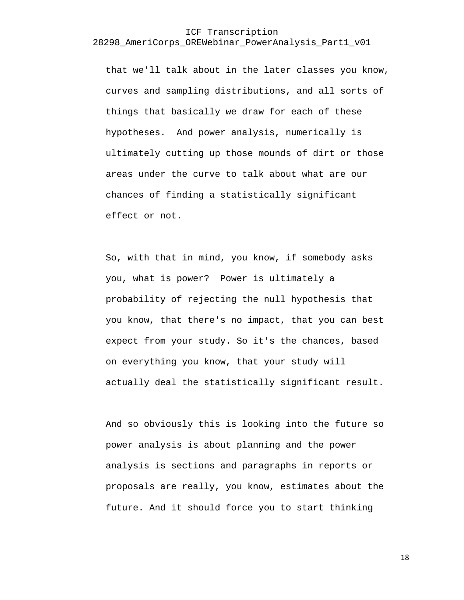that we'll talk about in the later classes you know, curves and sampling distributions, and all sorts of things that basically we draw for each of these hypotheses. And power analysis, numerically is ultimately cutting up those mounds of dirt or those areas under the curve to talk about what are our chances of finding a statistically significant effect or not.

So, with that in mind, you know, if somebody asks you, what is power? Power is ultimately a probability of rejecting the null hypothesis that you know, that there's no impact, that you can best expect from your study. So it's the chances, based on everything you know, that your study will actually deal the statistically significant result.

And so obviously this is looking into the future so power analysis is about planning and the power analysis is sections and paragraphs in reports or proposals are really, you know, estimates about the future. And it should force you to start thinking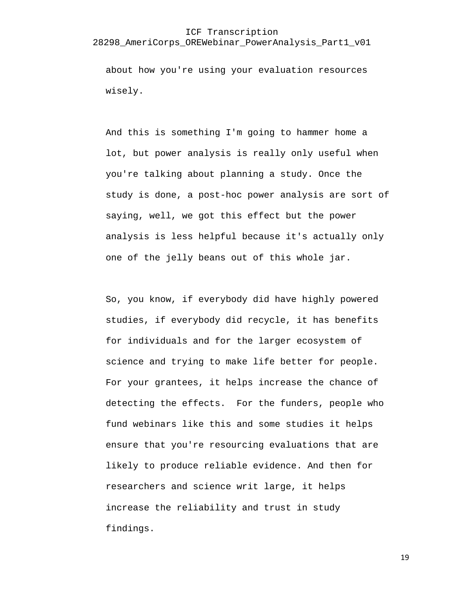#### ICF Transcription

#### 28298\_AmeriCorps\_OREWebinar\_PowerAnalysis\_Part1\_v01

about how you're using your evaluation resources wisely.

And this is something I'm going to hammer home a lot, but power analysis is really only useful when you're talking about planning a study. Once the study is done, a post-hoc power analysis are sort of saying, well, we got this effect but the power analysis is less helpful because it's actually only one of the jelly beans out of this whole jar.

So, you know, if everybody did have highly powered studies, if everybody did recycle, it has benefits for individuals and for the larger ecosystem of science and trying to make life better for people. For your grantees, it helps increase the chance of detecting the effects. For the funders, people who fund webinars like this and some studies it helps ensure that you're resourcing evaluations that are likely to produce reliable evidence. And then for researchers and science writ large, it helps increase the reliability and trust in study findings.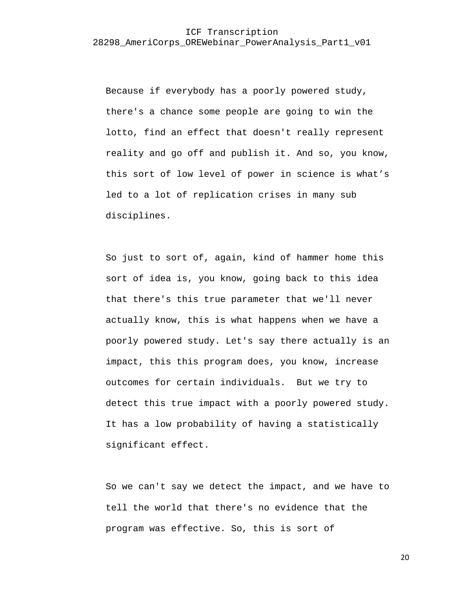Because if everybody has a poorly powered study, there's a chance some people are going to win the lotto, find an effect that doesn't really represent reality and go off and publish it. And so, you know, this sort of low level of power in science is what's led to a lot of replication crises in many sub disciplines.

So just to sort of, again, kind of hammer home this sort of idea is, you know, going back to this idea that there's this true parameter that we'll never actually know, this is what happens when we have a poorly powered study. Let's say there actually is an impact, this this program does, you know, increase outcomes for certain individuals. But we try to detect this true impact with a poorly powered study. It has a low probability of having a statistically significant effect.

So we can't say we detect the impact, and we have to tell the world that there's no evidence that the program was effective. So, this is sort of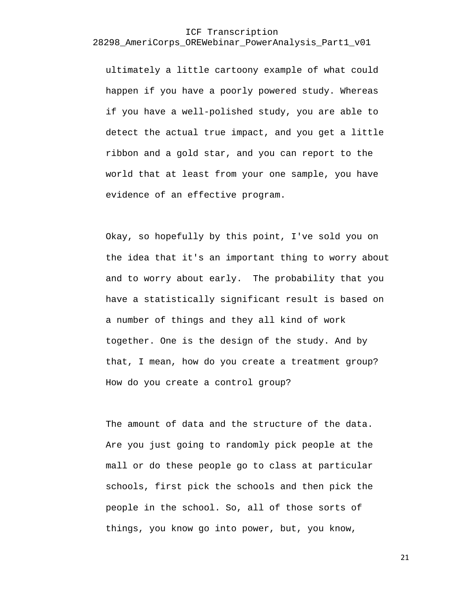ultimately a little cartoony example of what could happen if you have a poorly powered study. Whereas if you have a well-polished study, you are able to detect the actual true impact, and you get a little ribbon and a gold star, and you can report to the world that at least from your one sample, you have evidence of an effective program.

Okay, so hopefully by this point, I've sold you on the idea that it's an important thing to worry about and to worry about early. The probability that you have a statistically significant result is based on a number of things and they all kind of work together. One is the design of the study. And by that, I mean, how do you create a treatment group? How do you create a control group?

The amount of data and the structure of the data. Are you just going to randomly pick people at the mall or do these people go to class at particular schools, first pick the schools and then pick the people in the school. So, all of those sorts of things, you know go into power, but, you know,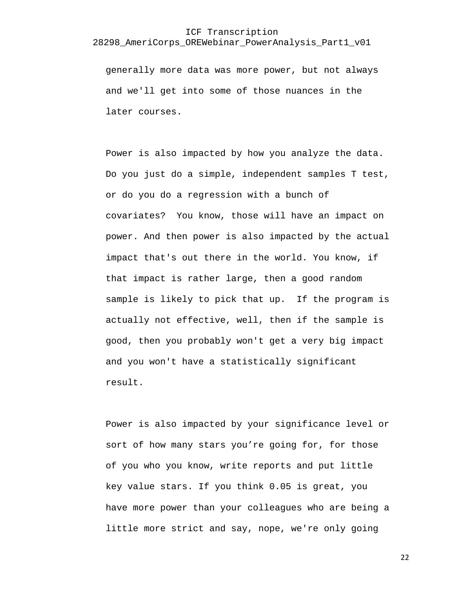# ICF Transcription

#### 28298\_AmeriCorps\_OREWebinar\_PowerAnalysis\_Part1\_v01

generally more data was more power, but not always and we'll get into some of those nuances in the later courses.

Power is also impacted by how you analyze the data. Do you just do a simple, independent samples T test, or do you do a regression with a bunch of covariates? You know, those will have an impact on power. And then power is also impacted by the actual impact that's out there in the world. You know, if that impact is rather large, then a good random sample is likely to pick that up. If the program is actually not effective, well, then if the sample is good, then you probably won't get a very big impact and you won't have a statistically significant result.

Power is also impacted by your significance level or sort of how many stars you're going for, for those of you who you know, write reports and put little key value stars. If you think 0.05 is great, you have more power than your colleagues who are being a little more strict and say, nope, we're only going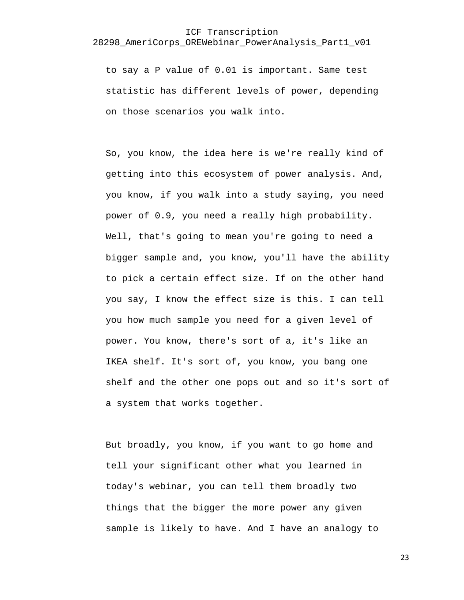to say a P value of 0.01 is important. Same test statistic has different levels of power, depending on those scenarios you walk into.

So, you know, the idea here is we're really kind of getting into this ecosystem of power analysis. And, you know, if you walk into a study saying, you need power of 0.9, you need a really high probability. Well, that's going to mean you're going to need a bigger sample and, you know, you'll have the ability to pick a certain effect size. If on the other hand you say, I know the effect size is this. I can tell you how much sample you need for a given level of power. You know, there's sort of a, it's like an IKEA shelf. It's sort of, you know, you bang one shelf and the other one pops out and so it's sort of a system that works together.

But broadly, you know, if you want to go home and tell your significant other what you learned in today's webinar, you can tell them broadly two things that the bigger the more power any given sample is likely to have. And I have an analogy to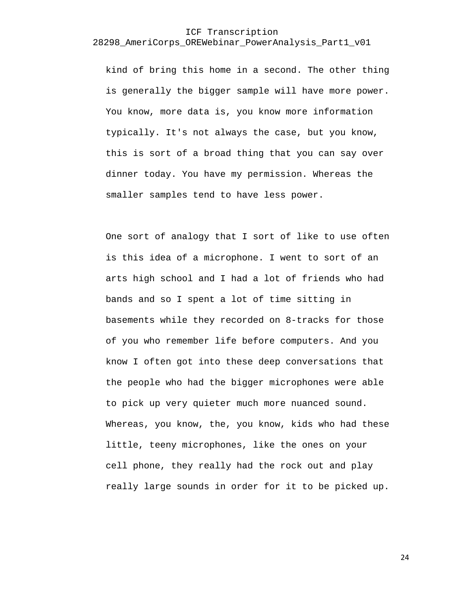kind of bring this home in a second. The other thing is generally the bigger sample will have more power. You know, more data is, you know more information typically. It's not always the case, but you know, this is sort of a broad thing that you can say over dinner today. You have my permission. Whereas the smaller samples tend to have less power.

One sort of analogy that I sort of like to use often is this idea of a microphone. I went to sort of an arts high school and I had a lot of friends who had bands and so I spent a lot of time sitting in basements while they recorded on 8-tracks for those of you who remember life before computers. And you know I often got into these deep conversations that the people who had the bigger microphones were able to pick up very quieter much more nuanced sound. Whereas, you know, the, you know, kids who had these little, teeny microphones, like the ones on your cell phone, they really had the rock out and play really large sounds in order for it to be picked up.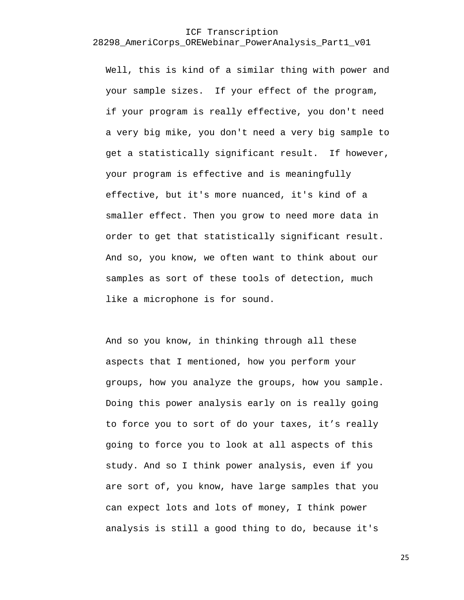Well, this is kind of a similar thing with power and your sample sizes. If your effect of the program, if your program is really effective, you don't need a very big mike, you don't need a very big sample to get a statistically significant result. If however, your program is effective and is meaningfully effective, but it's more nuanced, it's kind of a smaller effect. Then you grow to need more data in order to get that statistically significant result. And so, you know, we often want to think about our samples as sort of these tools of detection, much like a microphone is for sound.

And so you know, in thinking through all these aspects that I mentioned, how you perform your groups, how you analyze the groups, how you sample. Doing this power analysis early on is really going to force you to sort of do your taxes, it's really going to force you to look at all aspects of this study. And so I think power analysis, even if you are sort of, you know, have large samples that you can expect lots and lots of money, I think power analysis is still a good thing to do, because it's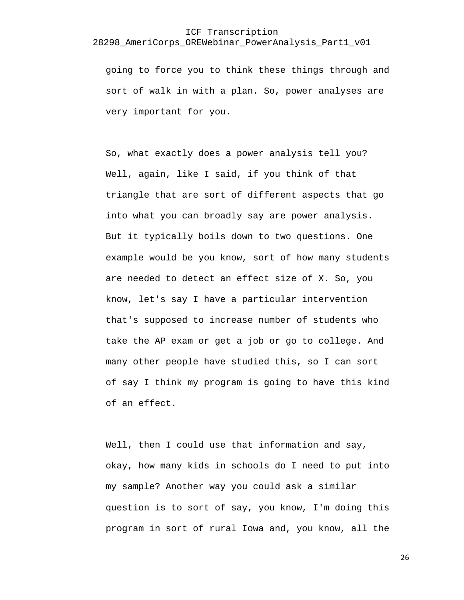going to force you to think these things through and sort of walk in with a plan. So, power analyses are very important for you.

So, what exactly does a power analysis tell you? Well, again, like I said, if you think of that triangle that are sort of different aspects that go into what you can broadly say are power analysis. But it typically boils down to two questions. One example would be you know, sort of how many students are needed to detect an effect size of X. So, you know, let's say I have a particular intervention that's supposed to increase number of students who take the AP exam or get a job or go to college. And many other people have studied this, so I can sort of say I think my program is going to have this kind of an effect.

Well, then I could use that information and say, okay, how many kids in schools do I need to put into my sample? Another way you could ask a similar question is to sort of say, you know, I'm doing this program in sort of rural Iowa and, you know, all the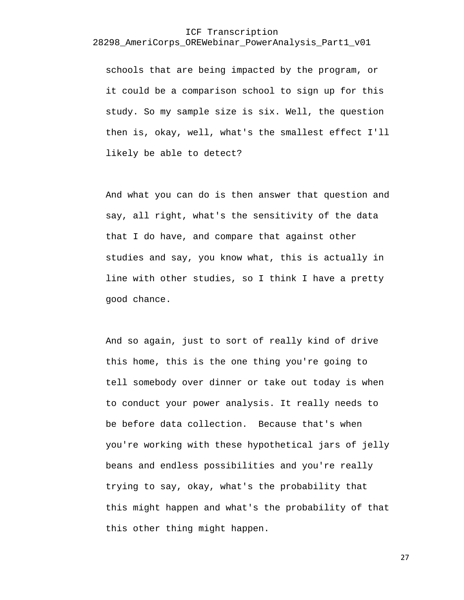schools that are being impacted by the program, or it could be a comparison school to sign up for this study. So my sample size is six. Well, the question then is, okay, well, what's the smallest effect I'll likely be able to detect?

And what you can do is then answer that question and say, all right, what's the sensitivity of the data that I do have, and compare that against other studies and say, you know what, this is actually in line with other studies, so I think I have a pretty good chance.

And so again, just to sort of really kind of drive this home, this is the one thing you're going to tell somebody over dinner or take out today is when to conduct your power analysis. It really needs to be before data collection. Because that's when you're working with these hypothetical jars of jelly beans and endless possibilities and you're really trying to say, okay, what's the probability that this might happen and what's the probability of that this other thing might happen.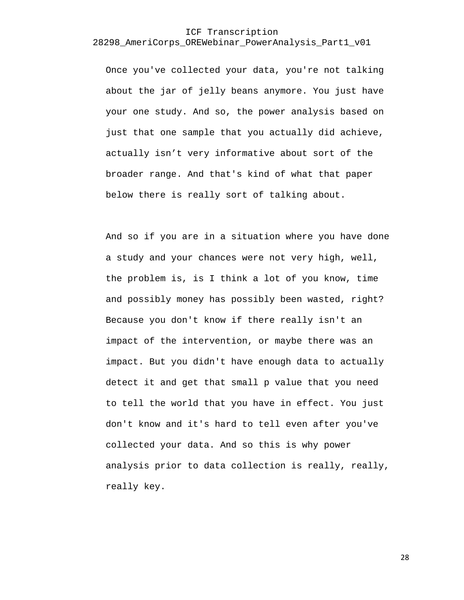Once you've collected your data, you're not talking about the jar of jelly beans anymore. You just have your one study. And so, the power analysis based on just that one sample that you actually did achieve, actually isn't very informative about sort of the broader range. And that's kind of what that paper below there is really sort of talking about.

And so if you are in a situation where you have done a study and your chances were not very high, well, the problem is, is I think a lot of you know, time and possibly money has possibly been wasted, right? Because you don't know if there really isn't an impact of the intervention, or maybe there was an impact. But you didn't have enough data to actually detect it and get that small p value that you need to tell the world that you have in effect. You just don't know and it's hard to tell even after you've collected your data. And so this is why power analysis prior to data collection is really, really, really key.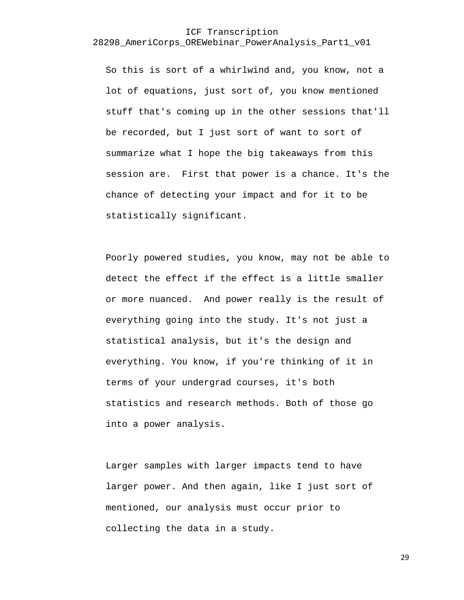So this is sort of a whirlwind and, you know, not a lot of equations, just sort of, you know mentioned stuff that's coming up in the other sessions that'll be recorded, but I just sort of want to sort of summarize what I hope the big takeaways from this session are. First that power is a chance. It's the chance of detecting your impact and for it to be statistically significant.

Poorly powered studies, you know, may not be able to detect the effect if the effect is a little smaller or more nuanced. And power really is the result of everything going into the study. It's not just a statistical analysis, but it's the design and everything. You know, if you're thinking of it in terms of your undergrad courses, it's both statistics and research methods. Both of those go into a power analysis.

Larger samples with larger impacts tend to have larger power. And then again, like I just sort of mentioned, our analysis must occur prior to collecting the data in a study.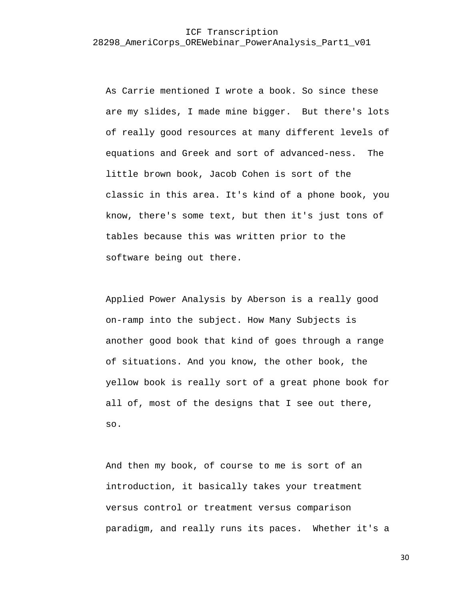As Carrie mentioned I wrote a book. So since these are my slides, I made mine bigger. But there's lots of really good resources at many different levels of equations and Greek and sort of advanced-ness. The little brown book, Jacob Cohen is sort of the classic in this area. It's kind of a phone book, you know, there's some text, but then it's just tons of tables because this was written prior to the software being out there.

Applied Power Analysis by Aberson is a really good on-ramp into the subject. How Many Subjects is another good book that kind of goes through a range of situations. And you know, the other book, the yellow book is really sort of a great phone book for all of, most of the designs that I see out there, so.

And then my book, of course to me is sort of an introduction, it basically takes your treatment versus control or treatment versus comparison paradigm, and really runs its paces. Whether it's a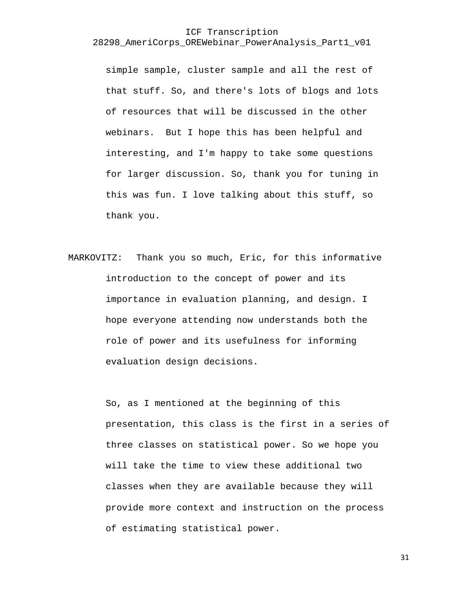simple sample, cluster sample and all the rest of that stuff. So, and there's lots of blogs and lots of resources that will be discussed in the other webinars. But I hope this has been helpful and interesting, and I'm happy to take some questions for larger discussion. So, thank you for tuning in this was fun. I love talking about this stuff, so thank you.

MARKOVITZ: Thank you so much, Eric, for this informative introduction to the concept of power and its importance in evaluation planning, and design. I hope everyone attending now understands both the role of power and its usefulness for informing evaluation design decisions.

> So, as I mentioned at the beginning of this presentation, this class is the first in a series of three classes on statistical power. So we hope you will take the time to view these additional two classes when they are available because they will provide more context and instruction on the process of estimating statistical power.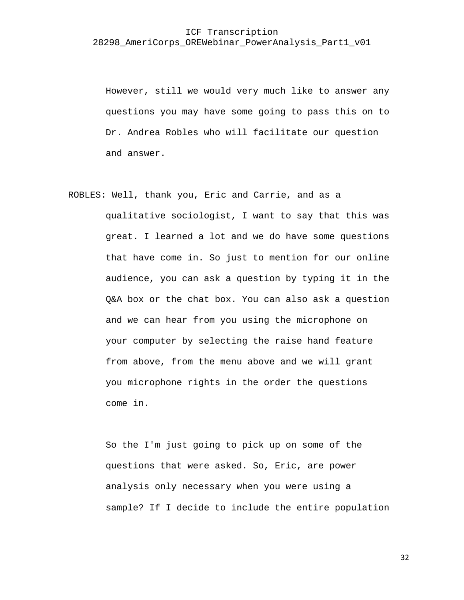However, still we would very much like to answer any questions you may have some going to pass this on to Dr. Andrea Robles who will facilitate our question and answer.

ROBLES: Well, thank you, Eric and Carrie, and as a qualitative sociologist, I want to say that this was great. I learned a lot and we do have some questions that have come in. So just to mention for our online audience, you can ask a question by typing it in the Q&A box or the chat box. You can also ask a question and we can hear from you using the microphone on your computer by selecting the raise hand feature from above, from the menu above and we will grant you microphone rights in the order the questions come in.

> So the I'm just going to pick up on some of the questions that were asked. So, Eric, are power analysis only necessary when you were using a sample? If I decide to include the entire population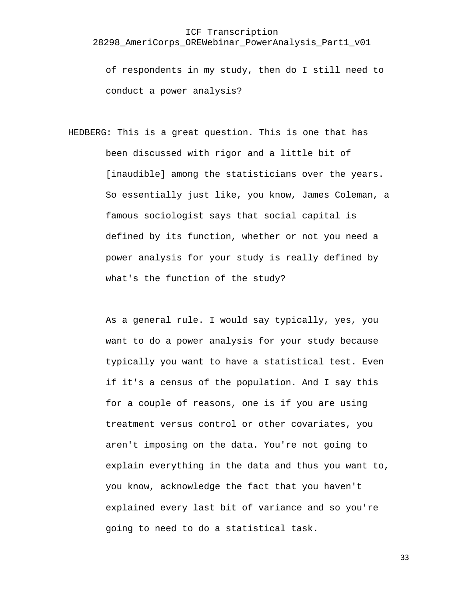of respondents in my study, then do I still need to conduct a power analysis?

HEDBERG: This is a great question. This is one that has been discussed with rigor and a little bit of [inaudible] among the statisticians over the years. So essentially just like, you know, James Coleman, a famous sociologist says that social capital is defined by its function, whether or not you need a power analysis for your study is really defined by what's the function of the study?

> As a general rule. I would say typically, yes, you want to do a power analysis for your study because typically you want to have a statistical test. Even if it's a census of the population. And I say this for a couple of reasons, one is if you are using treatment versus control or other covariates, you aren't imposing on the data. You're not going to explain everything in the data and thus you want to, you know, acknowledge the fact that you haven't explained every last bit of variance and so you're going to need to do a statistical task.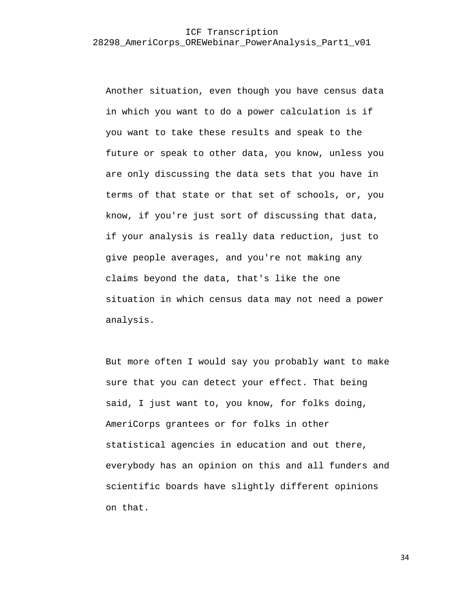Another situation, even though you have census data in which you want to do a power calculation is if you want to take these results and speak to the future or speak to other data, you know, unless you are only discussing the data sets that you have in terms of that state or that set of schools, or, you know, if you're just sort of discussing that data, if your analysis is really data reduction, just to give people averages, and you're not making any claims beyond the data, that's like the one situation in which census data may not need a power analysis.

But more often I would say you probably want to make sure that you can detect your effect. That being said, I just want to, you know, for folks doing, AmeriCorps grantees or for folks in other statistical agencies in education and out there, everybody has an opinion on this and all funders and scientific boards have slightly different opinions on that.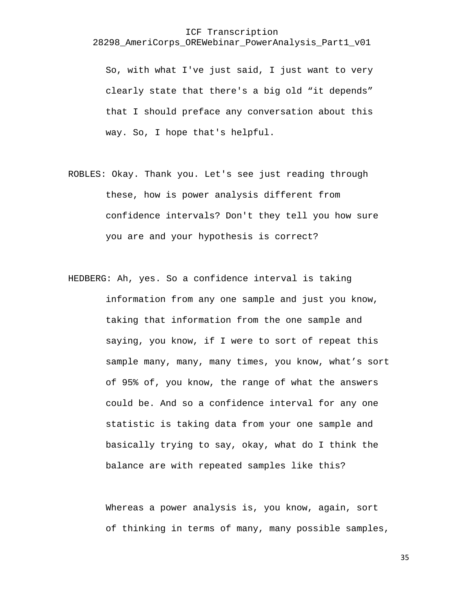So, with what I've just said, I just want to very clearly state that there's a big old "it depends" that I should preface any conversation about this way. So, I hope that's helpful.

- ROBLES: Okay. Thank you. Let's see just reading through these, how is power analysis different from confidence intervals? Don't they tell you how sure you are and your hypothesis is correct?
- HEDBERG: Ah, yes. So a confidence interval is taking information from any one sample and just you know, taking that information from the one sample and saying, you know, if I were to sort of repeat this sample many, many, many times, you know, what's sort of 95% of, you know, the range of what the answers could be. And so a confidence interval for any one statistic is taking data from your one sample and basically trying to say, okay, what do I think the balance are with repeated samples like this?

Whereas a power analysis is, you know, again, sort of thinking in terms of many, many possible samples,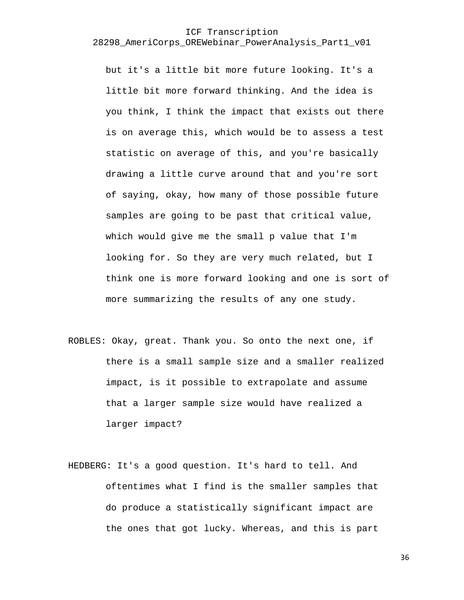but it's a little bit more future looking. It's a little bit more forward thinking. And the idea is you think, I think the impact that exists out there is on average this, which would be to assess a test statistic on average of this, and you're basically drawing a little curve around that and you're sort of saying, okay, how many of those possible future samples are going to be past that critical value, which would give me the small p value that I'm looking for. So they are very much related, but I think one is more forward looking and one is sort of more summarizing the results of any one study.

- ROBLES: Okay, great. Thank you. So onto the next one, if there is a small sample size and a smaller realized impact, is it possible to extrapolate and assume that a larger sample size would have realized a larger impact?
- HEDBERG: It's a good question. It's hard to tell. And oftentimes what I find is the smaller samples that do produce a statistically significant impact are the ones that got lucky. Whereas, and this is part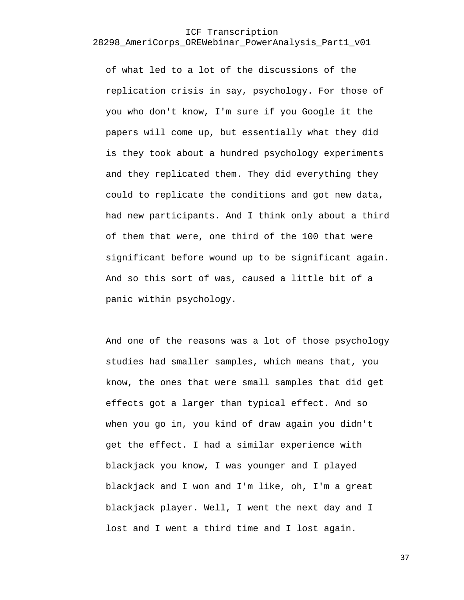of what led to a lot of the discussions of the replication crisis in say, psychology. For those of you who don't know, I'm sure if you Google it the papers will come up, but essentially what they did is they took about a hundred psychology experiments and they replicated them. They did everything they could to replicate the conditions and got new data, had new participants. And I think only about a third of them that were, one third of the 100 that were significant before wound up to be significant again. And so this sort of was, caused a little bit of a panic within psychology.

And one of the reasons was a lot of those psychology studies had smaller samples, which means that, you know, the ones that were small samples that did get effects got a larger than typical effect. And so when you go in, you kind of draw again you didn't get the effect. I had a similar experience with blackjack you know, I was younger and I played blackjack and I won and I'm like, oh, I'm a great blackjack player. Well, I went the next day and I lost and I went a third time and I lost again.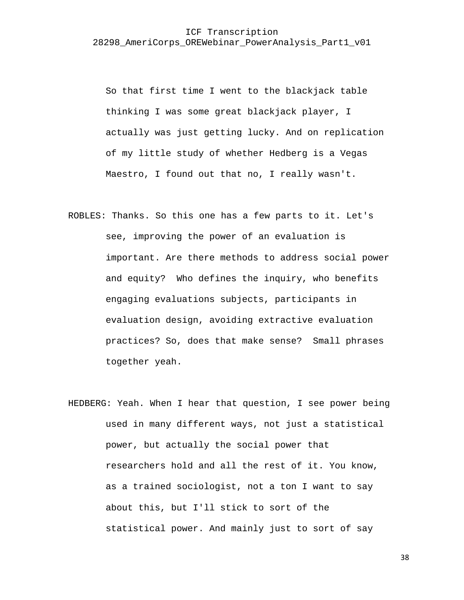So that first time I went to the blackjack table thinking I was some great blackjack player, I actually was just getting lucky. And on replication of my little study of whether Hedberg is a Vegas Maestro, I found out that no, I really wasn't.

- ROBLES: Thanks. So this one has a few parts to it. Let's see, improving the power of an evaluation is important. Are there methods to address social power and equity? Who defines the inquiry, who benefits engaging evaluations subjects, participants in evaluation design, avoiding extractive evaluation practices? So, does that make sense? Small phrases together yeah.
- HEDBERG: Yeah. When I hear that question, I see power being used in many different ways, not just a statistical power, but actually the social power that researchers hold and all the rest of it. You know, as a trained sociologist, not a ton I want to say about this, but I'll stick to sort of the statistical power. And mainly just to sort of say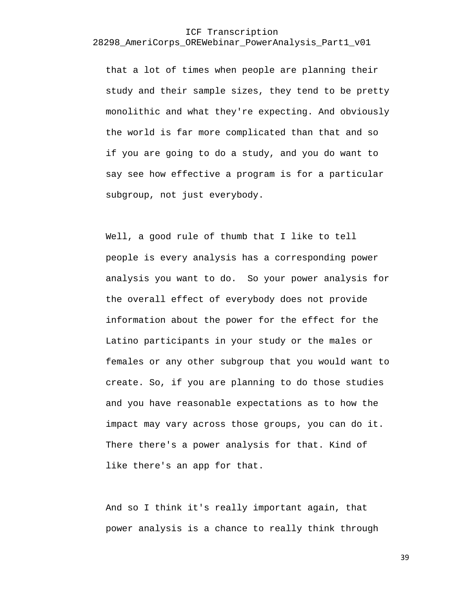that a lot of times when people are planning their study and their sample sizes, they tend to be pretty monolithic and what they're expecting. And obviously the world is far more complicated than that and so if you are going to do a study, and you do want to say see how effective a program is for a particular subgroup, not just everybody.

Well, a good rule of thumb that I like to tell people is every analysis has a corresponding power analysis you want to do. So your power analysis for the overall effect of everybody does not provide information about the power for the effect for the Latino participants in your study or the males or females or any other subgroup that you would want to create. So, if you are planning to do those studies and you have reasonable expectations as to how the impact may vary across those groups, you can do it. There there's a power analysis for that. Kind of like there's an app for that.

And so I think it's really important again, that power analysis is a chance to really think through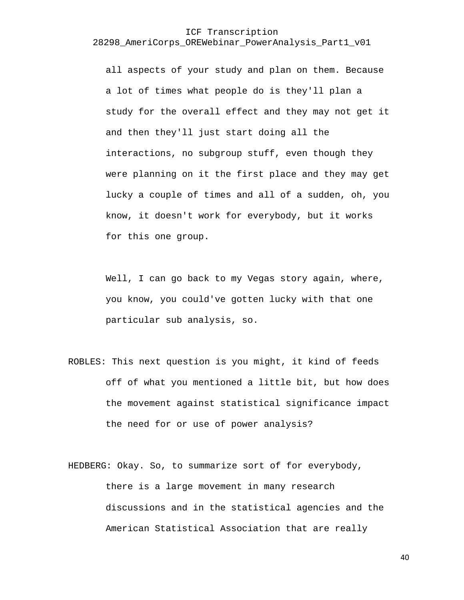all aspects of your study and plan on them. Because a lot of times what people do is they'll plan a study for the overall effect and they may not get it and then they'll just start doing all the interactions, no subgroup stuff, even though they were planning on it the first place and they may get lucky a couple of times and all of a sudden, oh, you know, it doesn't work for everybody, but it works for this one group.

Well, I can go back to my Vegas story again, where, you know, you could've gotten lucky with that one particular sub analysis, so.

ROBLES: This next question is you might, it kind of feeds off of what you mentioned a little bit, but how does the movement against statistical significance impact the need for or use of power analysis?

HEDBERG: Okay. So, to summarize sort of for everybody, there is a large movement in many research discussions and in the statistical agencies and the American Statistical Association that are really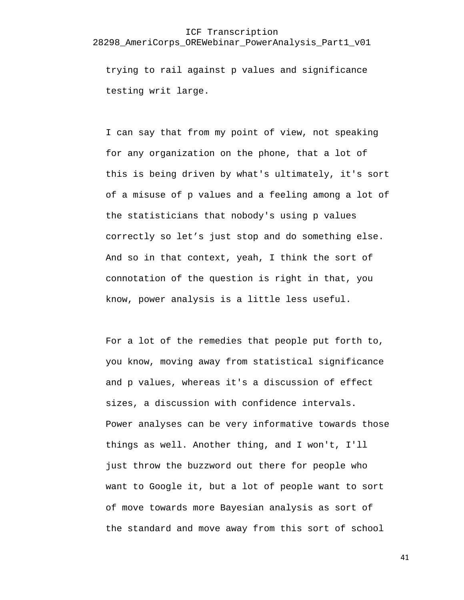trying to rail against p values and significance testing writ large.

I can say that from my point of view, not speaking for any organization on the phone, that a lot of this is being driven by what's ultimately, it's sort of a misuse of p values and a feeling among a lot of the statisticians that nobody's using p values correctly so let's just stop and do something else. And so in that context, yeah, I think the sort of connotation of the question is right in that, you know, power analysis is a little less useful.

For a lot of the remedies that people put forth to, you know, moving away from statistical significance and p values, whereas it's a discussion of effect sizes, a discussion with confidence intervals. Power analyses can be very informative towards those things as well. Another thing, and I won't, I'll just throw the buzzword out there for people who want to Google it, but a lot of people want to sort of move towards more Bayesian analysis as sort of the standard and move away from this sort of school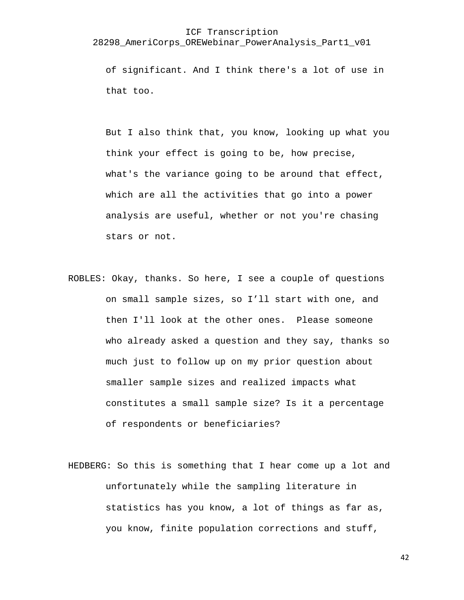#### ICF Transcription

#### 28298\_AmeriCorps\_OREWebinar\_PowerAnalysis\_Part1\_v01

of significant. And I think there's a lot of use in that too.

But I also think that, you know, looking up what you think your effect is going to be, how precise, what's the variance going to be around that effect, which are all the activities that go into a power analysis are useful, whether or not you're chasing stars or not.

- ROBLES: Okay, thanks. So here, I see a couple of questions on small sample sizes, so I'll start with one, and then I'll look at the other ones. Please someone who already asked a question and they say, thanks so much just to follow up on my prior question about smaller sample sizes and realized impacts what constitutes a small sample size? Is it a percentage of respondents or beneficiaries?
- HEDBERG: So this is something that I hear come up a lot and unfortunately while the sampling literature in statistics has you know, a lot of things as far as, you know, finite population corrections and stuff,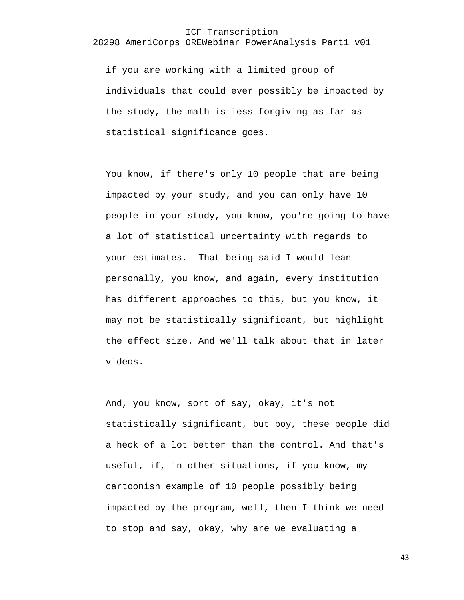if you are working with a limited group of individuals that could ever possibly be impacted by the study, the math is less forgiving as far as statistical significance goes.

You know, if there's only 10 people that are being impacted by your study, and you can only have 10 people in your study, you know, you're going to have a lot of statistical uncertainty with regards to your estimates. That being said I would lean personally, you know, and again, every institution has different approaches to this, but you know, it may not be statistically significant, but highlight the effect size. And we'll talk about that in later videos.

And, you know, sort of say, okay, it's not statistically significant, but boy, these people did a heck of a lot better than the control. And that's useful, if, in other situations, if you know, my cartoonish example of 10 people possibly being impacted by the program, well, then I think we need to stop and say, okay, why are we evaluating a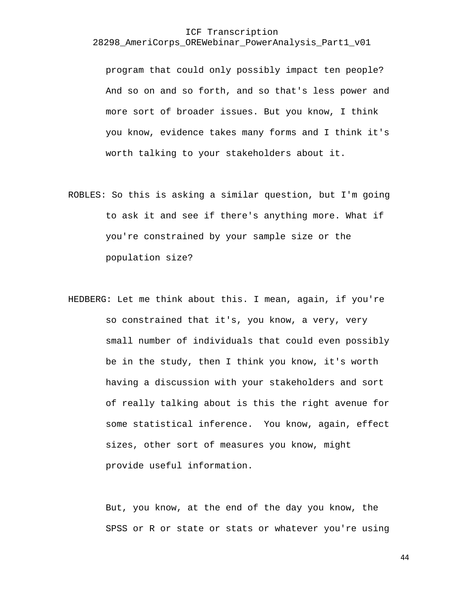program that could only possibly impact ten people? And so on and so forth, and so that's less power and more sort of broader issues. But you know, I think you know, evidence takes many forms and I think it's worth talking to your stakeholders about it.

- ROBLES: So this is asking a similar question, but I'm going to ask it and see if there's anything more. What if you're constrained by your sample size or the population size?
- HEDBERG: Let me think about this. I mean, again, if you're so constrained that it's, you know, a very, very small number of individuals that could even possibly be in the study, then I think you know, it's worth having a discussion with your stakeholders and sort of really talking about is this the right avenue for some statistical inference. You know, again, effect sizes, other sort of measures you know, might provide useful information.

But, you know, at the end of the day you know, the SPSS or R or state or stats or whatever you're using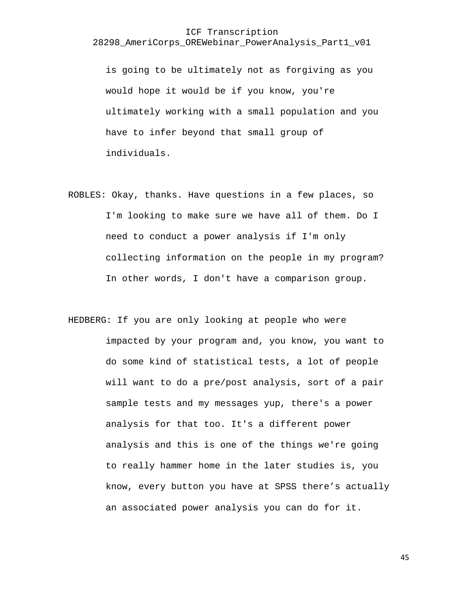is going to be ultimately not as forgiving as you would hope it would be if you know, you're ultimately working with a small population and you have to infer beyond that small group of individuals.

ROBLES: Okay, thanks. Have questions in a few places, so I'm looking to make sure we have all of them. Do I need to conduct a power analysis if I'm only collecting information on the people in my program? In other words, I don't have a comparison group.

HEDBERG: If you are only looking at people who were impacted by your program and, you know, you want to do some kind of statistical tests, a lot of people will want to do a pre/post analysis, sort of a pair sample tests and my messages yup, there's a power analysis for that too. It's a different power analysis and this is one of the things we're going to really hammer home in the later studies is, you know, every button you have at SPSS there's actually an associated power analysis you can do for it.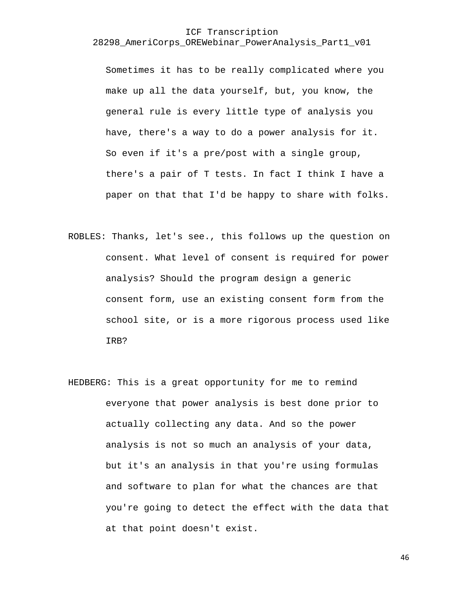Sometimes it has to be really complicated where you make up all the data yourself, but, you know, the general rule is every little type of analysis you have, there's a way to do a power analysis for it. So even if it's a pre/post with a single group, there's a pair of T tests. In fact I think I have a paper on that that I'd be happy to share with folks.

- ROBLES: Thanks, let's see., this follows up the question on consent. What level of consent is required for power analysis? Should the program design a generic consent form, use an existing consent form from the school site, or is a more rigorous process used like IRB?
- HEDBERG: This is a great opportunity for me to remind everyone that power analysis is best done prior to actually collecting any data. And so the power analysis is not so much an analysis of your data, but it's an analysis in that you're using formulas and software to plan for what the chances are that you're going to detect the effect with the data that at that point doesn't exist.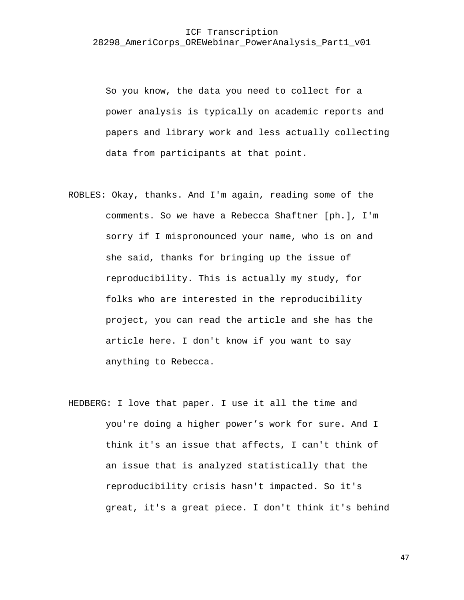So you know, the data you need to collect for a power analysis is typically on academic reports and papers and library work and less actually collecting data from participants at that point.

- ROBLES: Okay, thanks. And I'm again, reading some of the comments. So we have a Rebecca Shaftner [ph.], I'm sorry if I mispronounced your name, who is on and she said, thanks for bringing up the issue of reproducibility. This is actually my study, for folks who are interested in the reproducibility project, you can read the article and she has the article here. I don't know if you want to say anything to Rebecca.
- HEDBERG: I love that paper. I use it all the time and you're doing a higher power's work for sure. And I think it's an issue that affects, I can't think of an issue that is analyzed statistically that the reproducibility crisis hasn't impacted. So it's great, it's a great piece. I don't think it's behind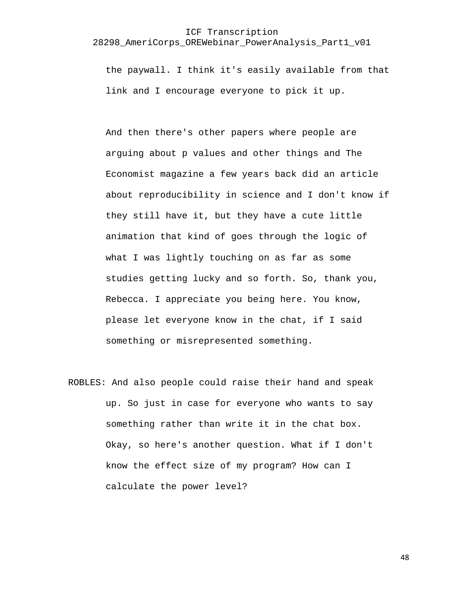the paywall. I think it's easily available from that link and I encourage everyone to pick it up.

And then there's other papers where people are arguing about p values and other things and The Economist magazine a few years back did an article about reproducibility in science and I don't know if they still have it, but they have a cute little animation that kind of goes through the logic of what I was lightly touching on as far as some studies getting lucky and so forth. So, thank you, Rebecca. I appreciate you being here. You know, please let everyone know in the chat, if I said something or misrepresented something.

ROBLES: And also people could raise their hand and speak up. So just in case for everyone who wants to say something rather than write it in the chat box. Okay, so here's another question. What if I don't know the effect size of my program? How can I calculate the power level?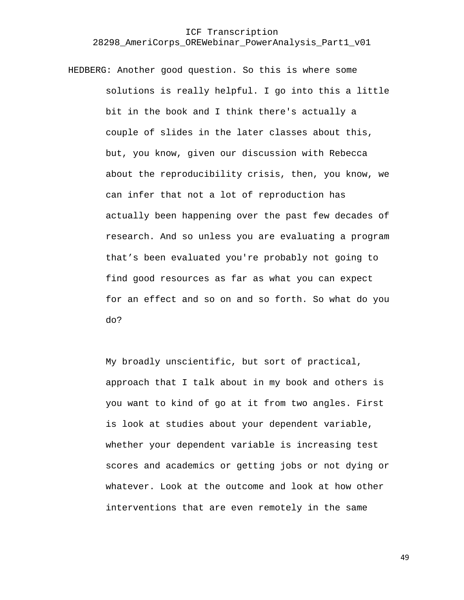HEDBERG: Another good question. So this is where some solutions is really helpful. I go into this a little bit in the book and I think there's actually a couple of slides in the later classes about this, but, you know, given our discussion with Rebecca about the reproducibility crisis, then, you know, we can infer that not a lot of reproduction has actually been happening over the past few decades of research. And so unless you are evaluating a program that's been evaluated you're probably not going to find good resources as far as what you can expect for an effect and so on and so forth. So what do you do?

> My broadly unscientific, but sort of practical, approach that I talk about in my book and others is you want to kind of go at it from two angles. First is look at studies about your dependent variable, whether your dependent variable is increasing test scores and academics or getting jobs or not dying or whatever. Look at the outcome and look at how other interventions that are even remotely in the same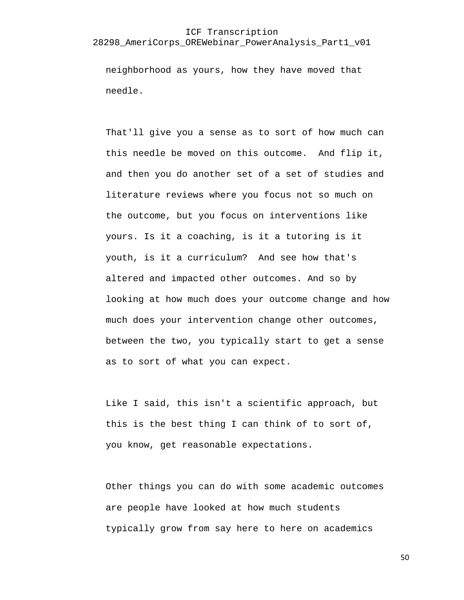#### ICF Transcription

#### 28298\_AmeriCorps\_OREWebinar\_PowerAnalysis\_Part1\_v01

neighborhood as yours, how they have moved that needle.

That'll give you a sense as to sort of how much can this needle be moved on this outcome. And flip it, and then you do another set of a set of studies and literature reviews where you focus not so much on the outcome, but you focus on interventions like yours. Is it a coaching, is it a tutoring is it youth, is it a curriculum? And see how that's altered and impacted other outcomes. And so by looking at how much does your outcome change and how much does your intervention change other outcomes, between the two, you typically start to get a sense as to sort of what you can expect.

Like I said, this isn't a scientific approach, but this is the best thing I can think of to sort of, you know, get reasonable expectations.

Other things you can do with some academic outcomes are people have looked at how much students typically grow from say here to here on academics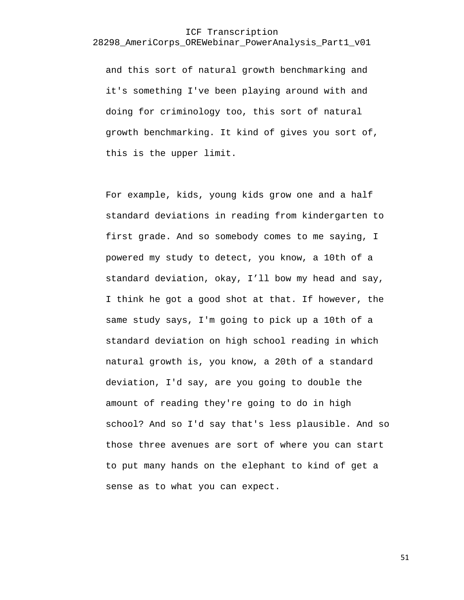and this sort of natural growth benchmarking and it's something I've been playing around with and doing for criminology too, this sort of natural growth benchmarking. It kind of gives you sort of, this is the upper limit.

For example, kids, young kids grow one and a half standard deviations in reading from kindergarten to first grade. And so somebody comes to me saying, I powered my study to detect, you know, a 10th of a standard deviation, okay, I'll bow my head and say, I think he got a good shot at that. If however, the same study says, I'm going to pick up a 10th of a standard deviation on high school reading in which natural growth is, you know, a 20th of a standard deviation, I'd say, are you going to double the amount of reading they're going to do in high school? And so I'd say that's less plausible. And so those three avenues are sort of where you can start to put many hands on the elephant to kind of get a sense as to what you can expect.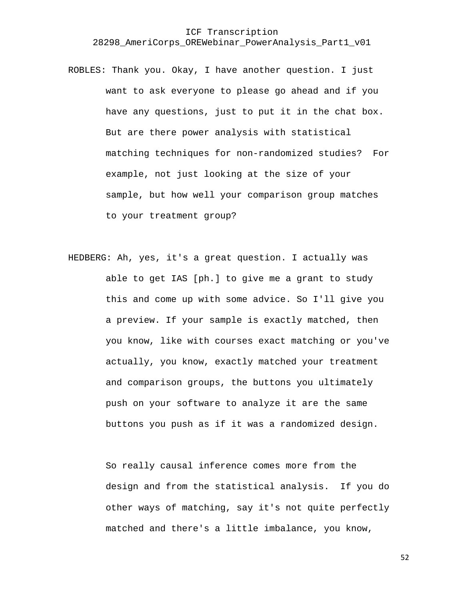- ROBLES: Thank you. Okay, I have another question. I just want to ask everyone to please go ahead and if you have any questions, just to put it in the chat box. But are there power analysis with statistical matching techniques for non-randomized studies? For example, not just looking at the size of your sample, but how well your comparison group matches to your treatment group?
- HEDBERG: Ah, yes, it's a great question. I actually was able to get IAS [ph.] to give me a grant to study this and come up with some advice. So I'll give you a preview. If your sample is exactly matched, then you know, like with courses exact matching or you've actually, you know, exactly matched your treatment and comparison groups, the buttons you ultimately push on your software to analyze it are the same buttons you push as if it was a randomized design.

So really causal inference comes more from the design and from the statistical analysis. If you do other ways of matching, say it's not quite perfectly matched and there's a little imbalance, you know,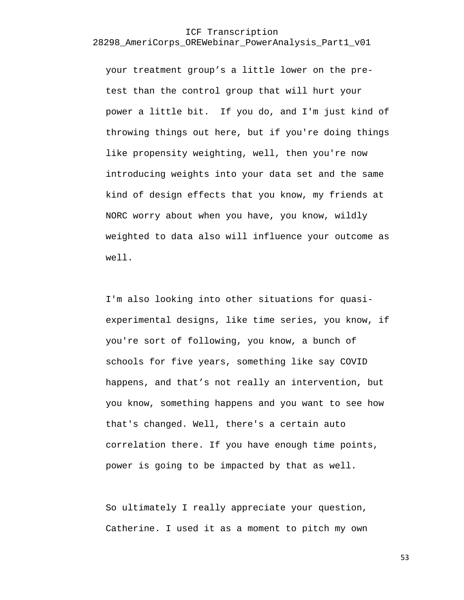your treatment group's a little lower on the pretest than the control group that will hurt your power a little bit. If you do, and I'm just kind of throwing things out here, but if you're doing things like propensity weighting, well, then you're now introducing weights into your data set and the same kind of design effects that you know, my friends at NORC worry about when you have, you know, wildly weighted to data also will influence your outcome as well.

I'm also looking into other situations for quasiexperimental designs, like time series, you know, if you're sort of following, you know, a bunch of schools for five years, something like say COVID happens, and that's not really an intervention, but you know, something happens and you want to see how that's changed. Well, there's a certain auto correlation there. If you have enough time points, power is going to be impacted by that as well.

So ultimately I really appreciate your question, Catherine. I used it as a moment to pitch my own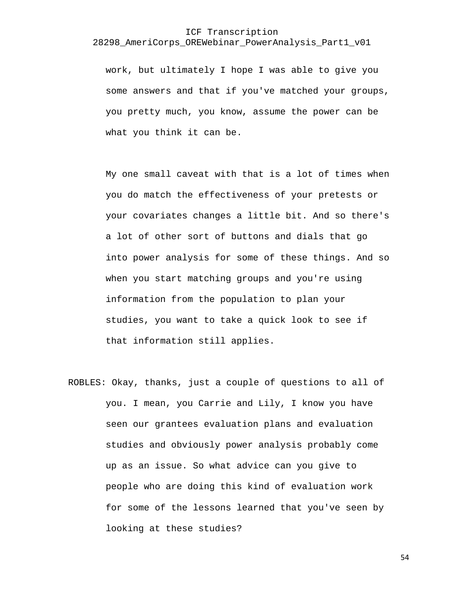## ICF Transcription

#### 28298\_AmeriCorps\_OREWebinar\_PowerAnalysis\_Part1\_v01

work, but ultimately I hope I was able to give you some answers and that if you've matched your groups, you pretty much, you know, assume the power can be what you think it can be.

My one small caveat with that is a lot of times when you do match the effectiveness of your pretests or your covariates changes a little bit. And so there's a lot of other sort of buttons and dials that go into power analysis for some of these things. And so when you start matching groups and you're using information from the population to plan your studies, you want to take a quick look to see if that information still applies.

ROBLES: Okay, thanks, just a couple of questions to all of you. I mean, you Carrie and Lily, I know you have seen our grantees evaluation plans and evaluation studies and obviously power analysis probably come up as an issue. So what advice can you give to people who are doing this kind of evaluation work for some of the lessons learned that you've seen by looking at these studies?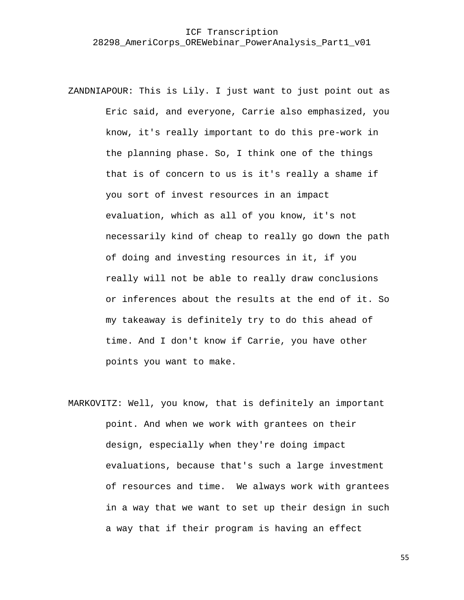ZANDNIAPOUR: This is Lily. I just want to just point out as Eric said, and everyone, Carrie also emphasized, you know, it's really important to do this pre-work in the planning phase. So, I think one of the things that is of concern to us is it's really a shame if you sort of invest resources in an impact evaluation, which as all of you know, it's not necessarily kind of cheap to really go down the path of doing and investing resources in it, if you really will not be able to really draw conclusions or inferences about the results at the end of it. So my takeaway is definitely try to do this ahead of time. And I don't know if Carrie, you have other points you want to make.

MARKOVITZ: Well, you know, that is definitely an important point. And when we work with grantees on their design, especially when they're doing impact evaluations, because that's such a large investment of resources and time. We always work with grantees in a way that we want to set up their design in such a way that if their program is having an effect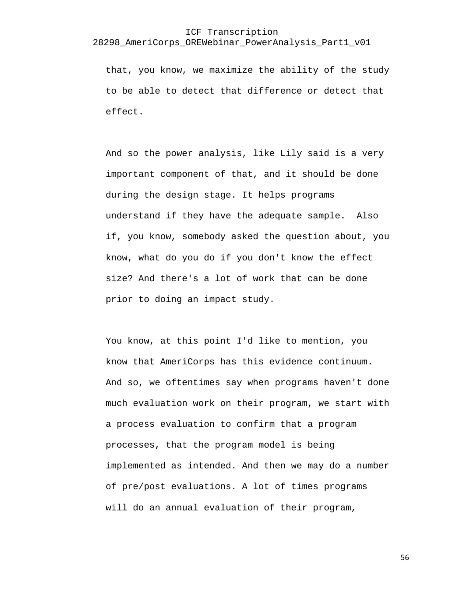#### ICF Transcription

#### 28298\_AmeriCorps\_OREWebinar\_PowerAnalysis\_Part1\_v01

that, you know, we maximize the ability of the study to be able to detect that difference or detect that effect.

And so the power analysis, like Lily said is a very important component of that, and it should be done during the design stage. It helps programs understand if they have the adequate sample. Also if, you know, somebody asked the question about, you know, what do you do if you don't know the effect size? And there's a lot of work that can be done prior to doing an impact study.

You know, at this point I'd like to mention, you know that AmeriCorps has this evidence continuum. And so, we oftentimes say when programs haven't done much evaluation work on their program, we start with a process evaluation to confirm that a program processes, that the program model is being implemented as intended. And then we may do a number of pre/post evaluations. A lot of times programs will do an annual evaluation of their program,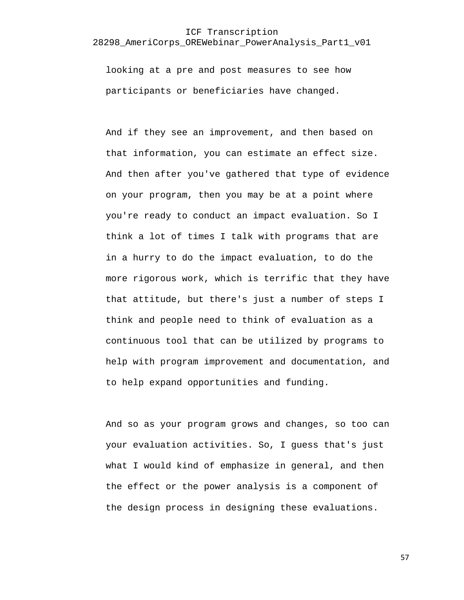looking at a pre and post measures to see how participants or beneficiaries have changed.

And if they see an improvement, and then based on that information, you can estimate an effect size. And then after you've gathered that type of evidence on your program, then you may be at a point where you're ready to conduct an impact evaluation. So I think a lot of times I talk with programs that are in a hurry to do the impact evaluation, to do the more rigorous work, which is terrific that they have that attitude, but there's just a number of steps I think and people need to think of evaluation as a continuous tool that can be utilized by programs to help with program improvement and documentation, and to help expand opportunities and funding.

And so as your program grows and changes, so too can your evaluation activities. So, I guess that's just what I would kind of emphasize in general, and then the effect or the power analysis is a component of the design process in designing these evaluations.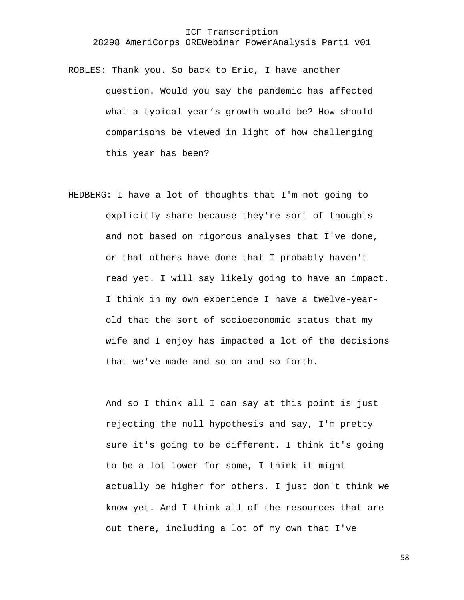- ROBLES: Thank you. So back to Eric, I have another question. Would you say the pandemic has affected what a typical year's growth would be? How should comparisons be viewed in light of how challenging this year has been?
- HEDBERG: I have a lot of thoughts that I'm not going to explicitly share because they're sort of thoughts and not based on rigorous analyses that I've done, or that others have done that I probably haven't read yet. I will say likely going to have an impact. I think in my own experience I have a twelve-yearold that the sort of socioeconomic status that my wife and I enjoy has impacted a lot of the decisions that we've made and so on and so forth.

And so I think all I can say at this point is just rejecting the null hypothesis and say, I'm pretty sure it's going to be different. I think it's going to be a lot lower for some, I think it might actually be higher for others. I just don't think we know yet. And I think all of the resources that are out there, including a lot of my own that I've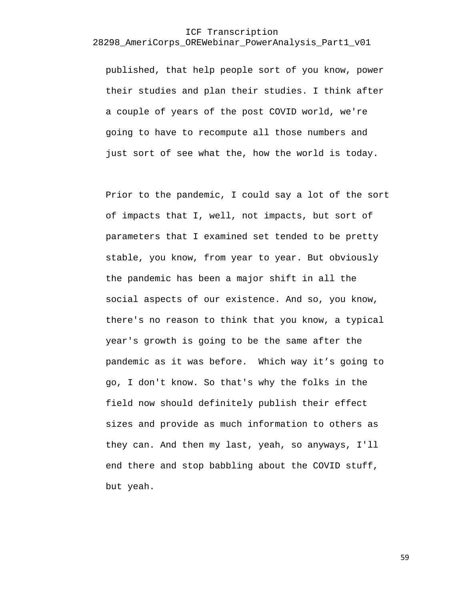published, that help people sort of you know, power their studies and plan their studies. I think after a couple of years of the post COVID world, we're going to have to recompute all those numbers and just sort of see what the, how the world is today.

Prior to the pandemic, I could say a lot of the sort of impacts that I, well, not impacts, but sort of parameters that I examined set tended to be pretty stable, you know, from year to year. But obviously the pandemic has been a major shift in all the social aspects of our existence. And so, you know, there's no reason to think that you know, a typical year's growth is going to be the same after the pandemic as it was before. Which way it's going to go, I don't know. So that's why the folks in the field now should definitely publish their effect sizes and provide as much information to others as they can. And then my last, yeah, so anyways, I'll end there and stop babbling about the COVID stuff, but yeah.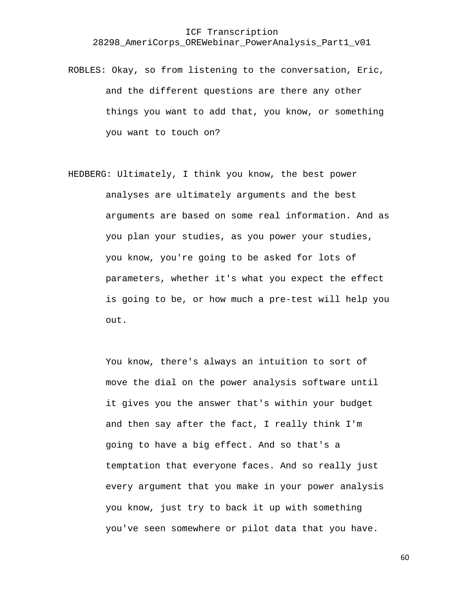ROBLES: Okay, so from listening to the conversation, Eric, and the different questions are there any other things you want to add that, you know, or something you want to touch on?

HEDBERG: Ultimately, I think you know, the best power analyses are ultimately arguments and the best arguments are based on some real information. And as you plan your studies, as you power your studies, you know, you're going to be asked for lots of parameters, whether it's what you expect the effect is going to be, or how much a pre-test will help you out.

> You know, there's always an intuition to sort of move the dial on the power analysis software until it gives you the answer that's within your budget and then say after the fact, I really think I'm going to have a big effect. And so that's a temptation that everyone faces. And so really just every argument that you make in your power analysis you know, just try to back it up with something you've seen somewhere or pilot data that you have.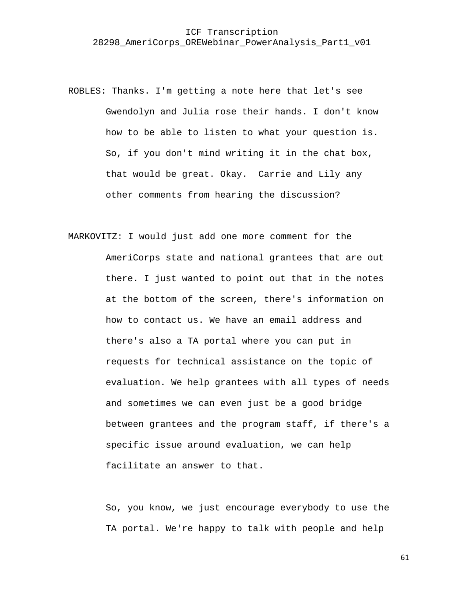- ROBLES: Thanks. I'm getting a note here that let's see Gwendolyn and Julia rose their hands. I don't know how to be able to listen to what your question is. So, if you don't mind writing it in the chat box, that would be great. Okay. Carrie and Lily any other comments from hearing the discussion?
- MARKOVITZ: I would just add one more comment for the AmeriCorps state and national grantees that are out there. I just wanted to point out that in the notes at the bottom of the screen, there's information on how to contact us. We have an email address and there's also a TA portal where you can put in requests for technical assistance on the topic of evaluation. We help grantees with all types of needs and sometimes we can even just be a good bridge between grantees and the program staff, if there's a specific issue around evaluation, we can help facilitate an answer to that.

So, you know, we just encourage everybody to use the TA portal. We're happy to talk with people and help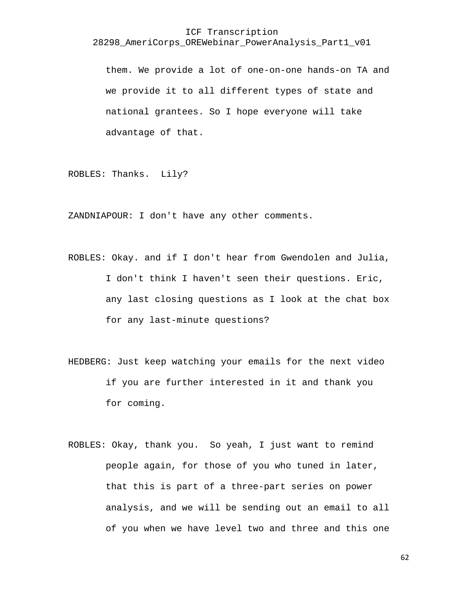them. We provide a lot of one-on-one hands-on TA and we provide it to all different types of state and national grantees. So I hope everyone will take advantage of that.

ROBLES: Thanks. Lily?

ZANDNIAPOUR: I don't have any other comments.

- ROBLES: Okay. and if I don't hear from Gwendolen and Julia, I don't think I haven't seen their questions. Eric, any last closing questions as I look at the chat box for any last-minute questions?
- HEDBERG: Just keep watching your emails for the next video if you are further interested in it and thank you for coming.
- ROBLES: Okay, thank you. So yeah, I just want to remind people again, for those of you who tuned in later, that this is part of a three-part series on power analysis, and we will be sending out an email to all of you when we have level two and three and this one